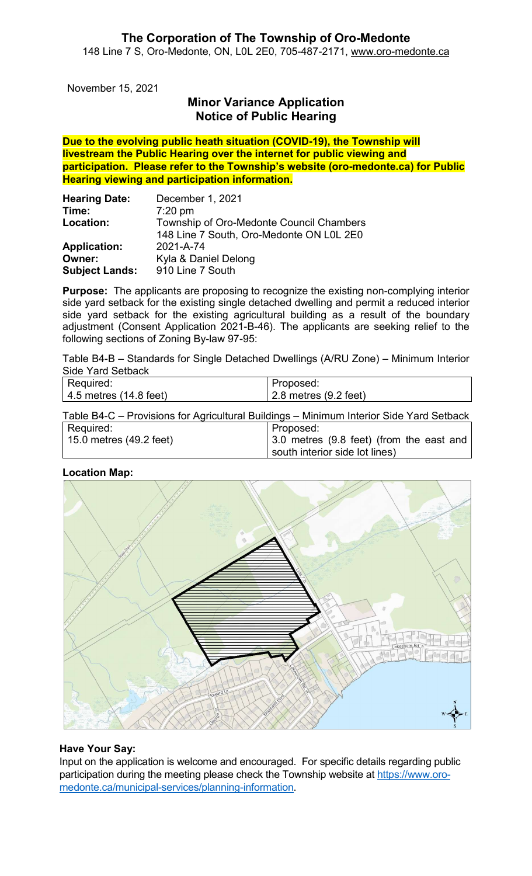November 15, 2021

# Minor Variance Application Notice of Public Hearing

Due to the evolving public heath situation (COVID-19), the Township will livestream the Public Hearing over the internet for public viewing and participation. Please refer to the Township's website (oro-medonte.ca) for Public Hearing viewing and participation information.

| <b>Hearing Date:</b>  | December 1, 2021                         |
|-----------------------|------------------------------------------|
| Time:                 | $7:20$ pm                                |
| Location:             | Township of Oro-Medonte Council Chambers |
|                       | 148 Line 7 South, Oro-Medonte ON L0L 2E0 |
| <b>Application:</b>   | 2021-A-74                                |
| Owner:                | Kyla & Daniel Delong                     |
| <b>Subject Lands:</b> | 910 Line 7 South                         |

**Purpose:** The applicants are proposing to recognize the existing non-complying interior side yard setback for the existing single detached dwelling and permit a reduced interior side yard setback for the existing agricultural building as a result of the boundary adjustment (Consent Application 2021-B-46). The applicants are seeking relief to the following sections of Zoning By-law 97-95:

Table B4-B – Standards for Single Detached Dwellings (A/RU Zone) – Minimum Interior Side Yard Setback

| Required:                      | Proposed:                     |
|--------------------------------|-------------------------------|
| $\vert$ 4.5 metres (14.8 feet) | $\vert$ 2.8 metres (9.2 feet) |

Table B4-C – Provisions for Agricultural Buildings – Minimum Interior Side Yard Setback

| Required:               | Proposed:                                        |
|-------------------------|--------------------------------------------------|
| 15.0 metres (49.2 feet) | $\vert$ 3.0 metres (9.8 feet) (from the east and |
|                         | south interior side lot lines)                   |

#### Location Map:



### Have Your Say:

Input on the application is welcome and encouraged. For specific details regarding public participation during the meeting please check the Township website at https://www.oromedonte.ca/municipal-services/planning-information.